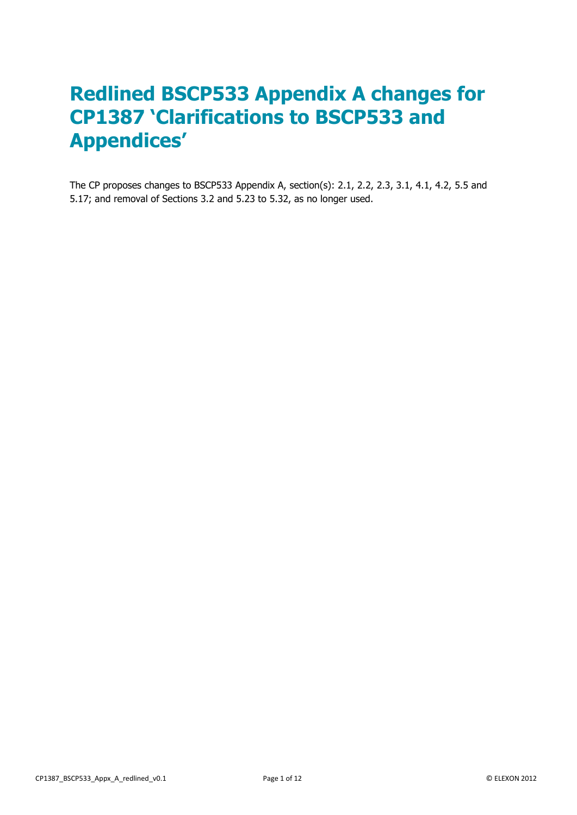# **Redlined BSCP533 Appendix A changes for CP1387 'Clarifications to BSCP533 and Appendices'**

The CP proposes changes to BSCP533 Appendix A, section(s): 2.1, 2.2, 2.3, 3.1, 4.1, 4.2, 5.5 and 5.17; and removal of Sections 3.2 and 5.23 to 5.32, as no longer used.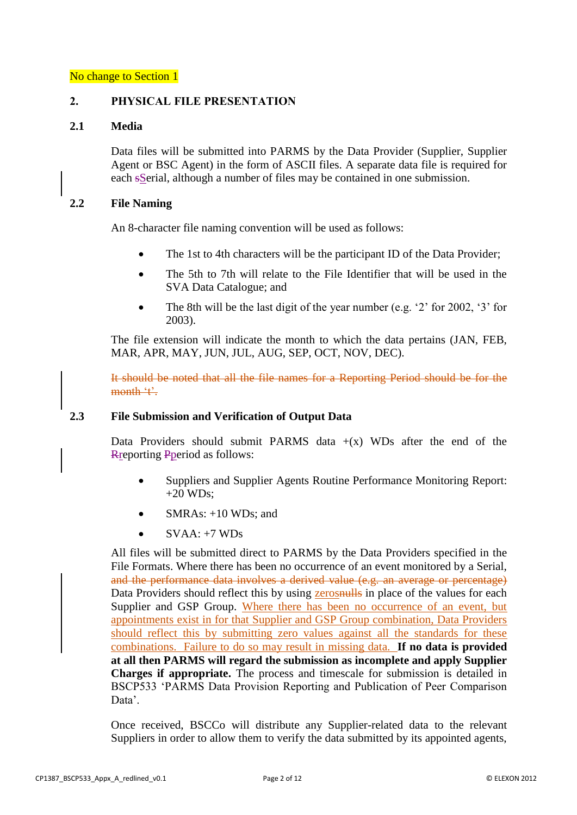## **2. PHYSICAL FILE PRESENTATION**

### **2.1 Media**

Data files will be submitted into PARMS by the Data Provider (Supplier, Supplier Agent or BSC Agent) in the form of ASCII files. A separate data file is required for each sSerial, although a number of files may be contained in one submission.

## **2.2 File Naming**

An 8-character file naming convention will be used as follows:

- The 1st to 4th characters will be the participant ID of the Data Provider;
- The 5th to 7th will relate to the File Identifier that will be used in the SVA Data Catalogue; and
- The 8th will be the last digit of the year number (e.g.  $2$  for 2002,  $3$  for 2003).

The file extension will indicate the month to which the data pertains (JAN, FEB, MAR, APR, MAY, JUN, JUL, AUG, SEP, OCT, NOV, DEC).

It should be noted that all the file names for a Reporting Period should be for the month 't'.

### **2.3 File Submission and Verification of Output Data**

Data Providers should submit PARMS data  $+(x)$  WDs after the end of the Rreporting Pperiod as follows:

- Suppliers and Supplier Agents Routine Performance Monitoring Report:  $+20$  WDs:
- SMRAs: +10 WDs; and
- $SVAA: +7WDs$

All files will be submitted direct to PARMS by the Data Providers specified in the File Formats. Where there has been no occurrence of an event monitored by a Serial, and the performance data involves a derived value (e.g. an average or percentage) Data Providers should reflect this by using **zerosnulls** in place of the values for each Supplier and GSP Group. Where there has been no occurrence of an event, but appointments exist in for that Supplier and GSP Group combination, Data Providers should reflect this by submitting zero values against all the standards for these combinations. Failure to do so may result in missing data. **If no data is provided at all then PARMS will regard the submission as incomplete and apply Supplier Charges if appropriate.** The process and timescale for submission is detailed in BSCP533 'PARMS Data Provision Reporting and Publication of Peer Comparison Data'.

Once received, BSCCo will distribute any Supplier-related data to the relevant Suppliers in order to allow them to verify the data submitted by its appointed agents,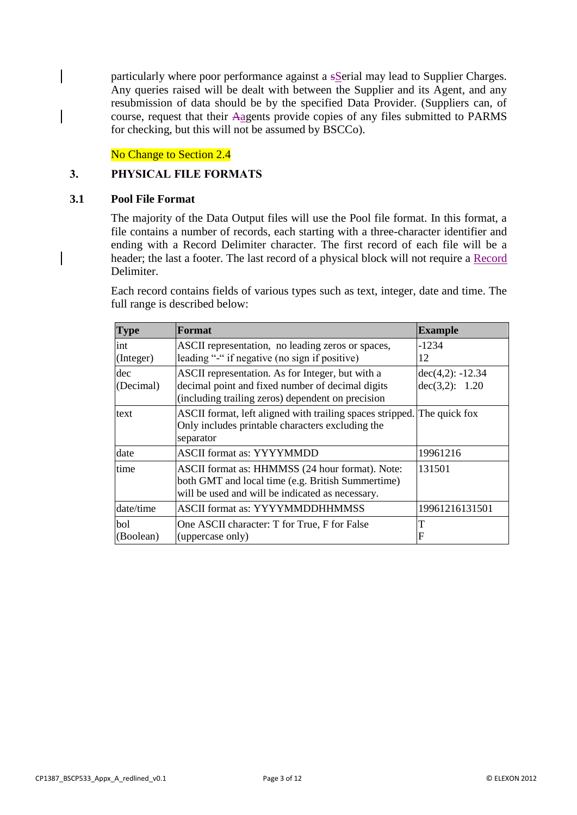particularly where poor performance against a s**Serial may lead to Supplier Charges.** Any queries raised will be dealt with between the Supplier and its Agent, and any resubmission of data should be by the specified Data Provider. (Suppliers can, of course, request that their Aagents provide copies of any files submitted to PARMS for checking, but this will not be assumed by BSCCo).

No Change to Section 2.4

## **3. PHYSICAL FILE FORMATS**

#### **3.1 Pool File Format**

The majority of the Data Output files will use the Pool file format. In this format, a file contains a number of records, each starting with a three-character identifier and ending with a Record Delimiter character. The first record of each file will be a header; the last a footer. The last record of a physical block will not require a Record Delimiter.

Each record contains fields of various types such as text, integer, date and time. The full range is described below:

| <b>Type</b>      | Format                                                                                                                                                    | <b>Example</b>                       |
|------------------|-----------------------------------------------------------------------------------------------------------------------------------------------------------|--------------------------------------|
| int<br>(Integer) | ASCII representation, no leading zeros or spaces,<br>leading "-" if negative (no sign if positive)                                                        | $-1234$<br>12                        |
| dec<br>(Decimal) | ASCII representation. As for Integer, but with a<br>decimal point and fixed number of decimal digits<br>(including trailing zeros) dependent on precision | $dec(4,2): -12.34$<br>dec(3,2): 1.20 |
| text             | ASCII format, left aligned with trailing spaces stripped. The quick fox<br>Only includes printable characters excluding the<br>separator                  |                                      |
| date             | <b>ASCII</b> format as: YYYYMMDD                                                                                                                          | 19961216                             |
| time             | ASCII format as: HHMMSS (24 hour format). Note:<br>both GMT and local time (e.g. British Summertime)<br>will be used and will be indicated as necessary.  | 131501                               |
| date/time        | <b>ASCII format as: YYYYMMDDHHMMSS</b>                                                                                                                    | 19961216131501                       |
| bol<br>(Boolean) | One ASCII character: T for True, F for False<br>(uppercase only)                                                                                          | F                                    |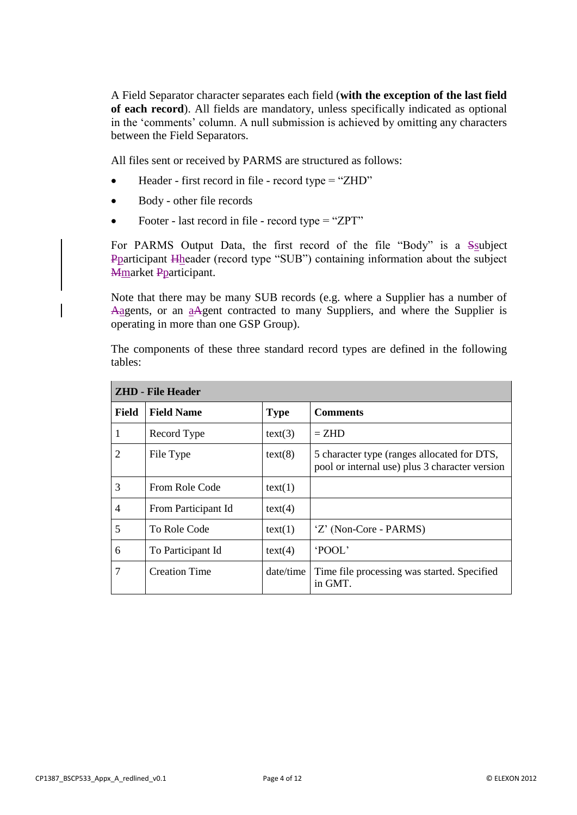A Field Separator character separates each field (**with the exception of the last field of each record**). All fields are mandatory, unless specifically indicated as optional in the 'comments' column. A null submission is achieved by omitting any characters between the Field Separators.

All files sent or received by PARMS are structured as follows:

- Header first record in file record type = "ZHD"
- Body other file records
- Footer last record in file record type = "ZPT"

For PARMS Output Data, the first record of the file "Body" is a Ssubject Pparticipant Hheader (record type "SUB") containing information about the subject Mmarket Pparticipant.

Note that there may be many SUB records (e.g. where a Supplier has a number of Aagents, or an aAgent contracted to many Suppliers, and where the Supplier is operating in more than one GSP Group).

The components of these three standard record types are defined in the following tables:

| <b>ZHD</b> - File Header |                      |             |                                                                                               |  |
|--------------------------|----------------------|-------------|-----------------------------------------------------------------------------------------------|--|
| <b>Field</b>             | <b>Field Name</b>    | <b>Type</b> | <b>Comments</b>                                                                               |  |
| 1                        | Record Type          | text(3)     | $=$ ZHD                                                                                       |  |
| 2                        | File Type            | text(8)     | 5 character type (ranges allocated for DTS,<br>pool or internal use) plus 3 character version |  |
| 3                        | From Role Code       | text(1)     |                                                                                               |  |
| $\overline{4}$           | From Participant Id  | text(4)     |                                                                                               |  |
| 5                        | To Role Code         | text(1)     | 'Z' (Non-Core - PARMS)                                                                        |  |
| 6                        | To Participant Id    | text(4)     | <b>POOL</b>                                                                                   |  |
| 7                        | <b>Creation Time</b> | date/time   | Time file processing was started. Specified<br>in GMT.                                        |  |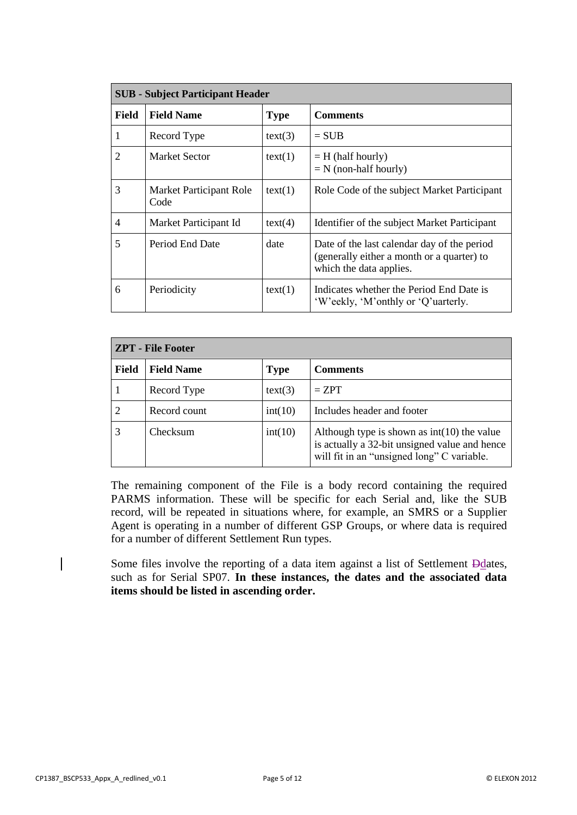| <b>SUB</b> - Subject Participant Header |                                 |                                |                                                                                                                      |
|-----------------------------------------|---------------------------------|--------------------------------|----------------------------------------------------------------------------------------------------------------------|
| <b>Field</b>                            | <b>Field Name</b>               | <b>Comments</b><br><b>Type</b> |                                                                                                                      |
| 1                                       | Record Type                     | text(3)                        | $=$ SUB                                                                                                              |
| 2                                       | <b>Market Sector</b>            | text(1)                        | $=$ H (half hourly)<br>$=N$ (non-half hourly)                                                                        |
| 3                                       | Market Participant Role<br>Code | text(1)                        | Role Code of the subject Market Participant                                                                          |
| $\overline{4}$                          | Market Participant Id           | text(4)                        | Identifier of the subject Market Participant                                                                         |
| 5                                       | Period End Date                 | date                           | Date of the last calendar day of the period<br>(generally either a month or a quarter) to<br>which the data applies. |
| 6                                       | Periodicity                     | text(1)                        | Indicates whether the Period End Date is<br>'W'eekly, 'M'onthly or 'Q'uarterly.                                      |

| <b>ZPT</b> - File Footer |                   |             |                                                                                                                                              |  |
|--------------------------|-------------------|-------------|----------------------------------------------------------------------------------------------------------------------------------------------|--|
| <b>Field</b>             | <b>Field Name</b> | <b>Type</b> | <b>Comments</b>                                                                                                                              |  |
|                          | Record Type       | text(3)     | $= ZPT$                                                                                                                                      |  |
|                          | Record count      | int(10)     | Includes header and footer                                                                                                                   |  |
|                          | Checksum          | int(10)     | Although type is shown as $int(10)$ the value<br>is actually a 32-bit unsigned value and hence<br>will fit in an "unsigned long" C variable. |  |

The remaining component of the File is a body record containing the required PARMS information. These will be specific for each Serial and, like the SUB record, will be repeated in situations where, for example, an SMRS or a Supplier Agent is operating in a number of different GSP Groups, or where data is required for a number of different Settlement Run types.

Some files involve the reporting of a data item against a list of Settlement Ddates, such as for Serial SP07. **In these instances, the dates and the associated data items should be listed in ascending order.**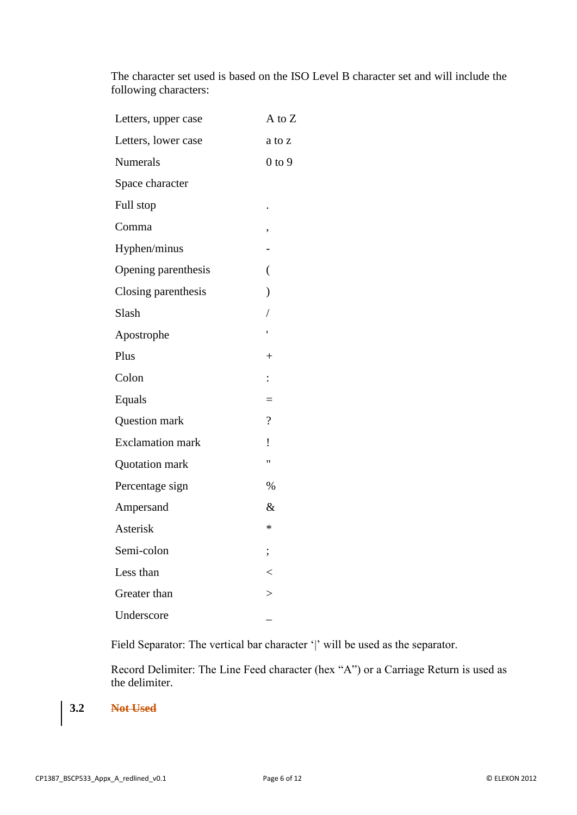The character set used is based on the ISO Level B character set and will include the following characters:

| Letters, upper case     | A to Z                   |
|-------------------------|--------------------------|
| Letters, lower case     | a to z                   |
| Numerals                | $0$ to $9$               |
| Space character         |                          |
| Full stop               |                          |
| Comma                   | ,                        |
| Hyphen/minus            |                          |
| Opening parenthesis     | (                        |
| Closing parenthesis     | $\mathcal{E}$            |
| Slash                   | $\sqrt{2}$               |
| Apostrophe              |                          |
| Plus                    | $^{+}$                   |
| Colon                   | $\ddot{\cdot}$           |
| Equals                  | $=$                      |
| Question mark           | $\overline{\mathcal{L}}$ |
| <b>Exclamation mark</b> | İ                        |
| Quotation mark          | "                        |
| Percentage sign         | %                        |
| Ampersand               | $\&$                     |
| Asterisk                | ∗                        |
| Semi-colon              |                          |
| Less than               | $\,<$                    |
| Greater than            | >                        |
| Underscore              |                          |

Field Separator: The vertical bar character '|' will be used as the separator.

Record Delimiter: The Line Feed character (hex "A") or a Carriage Return is used as the delimiter.

**3.2 Not Used**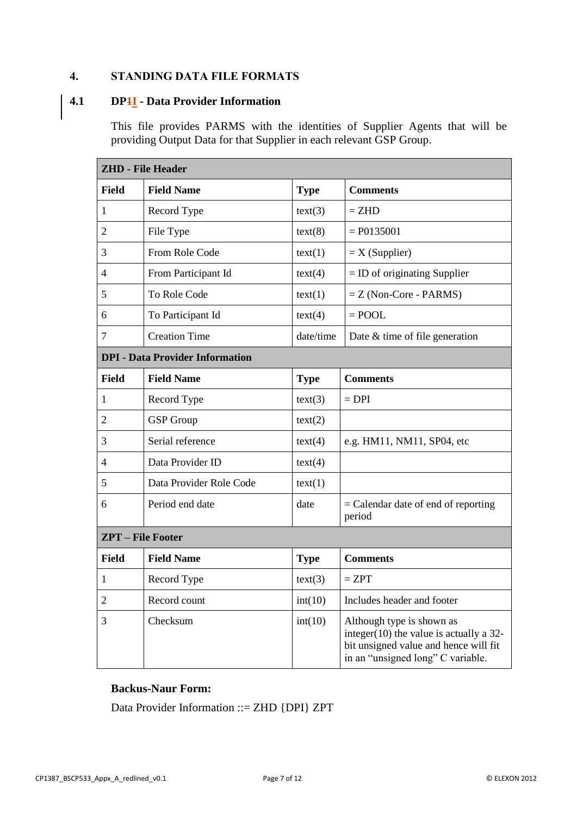# **4. STANDING DATA FILE FORMATS**

## **4.1 DP1I - Data Provider Information**

This file provides PARMS with the identities of Supplier Agents that will be providing Output Data for that Supplier in each relevant GSP Group.

| <b>ZHD - File Header</b>               |                         |             |                                                                                                                                                       |  |  |
|----------------------------------------|-------------------------|-------------|-------------------------------------------------------------------------------------------------------------------------------------------------------|--|--|
| Field                                  | <b>Field Name</b>       | <b>Type</b> | <b>Comments</b>                                                                                                                                       |  |  |
| 1                                      | Record Type             | text(3)     | $=$ ZHD                                                                                                                                               |  |  |
| 2                                      | File Type               | text(8)     | $= P0135001$                                                                                                                                          |  |  |
| 3                                      | From Role Code          | text(1)     | $=X$ (Supplier)                                                                                                                                       |  |  |
| 4                                      | From Participant Id     | text(4)     | $=$ ID of originating Supplier                                                                                                                        |  |  |
| 5                                      | To Role Code            | text(1)     | $=$ Z (Non-Core - PARMS)                                                                                                                              |  |  |
| 6                                      | To Participant Id       | text(4)     | $=$ POOL                                                                                                                                              |  |  |
| 7                                      | <b>Creation Time</b>    | date/time   | Date & time of file generation                                                                                                                        |  |  |
| <b>DPI</b> - Data Provider Information |                         |             |                                                                                                                                                       |  |  |
| <b>Field</b>                           | <b>Field Name</b>       | <b>Type</b> | <b>Comments</b>                                                                                                                                       |  |  |
| 1                                      | Record Type             | text(3)     | $=$ DPI                                                                                                                                               |  |  |
| 2                                      | <b>GSP</b> Group        | text(2)     |                                                                                                                                                       |  |  |
| 3                                      | Serial reference        | text(4)     | e.g. HM11, NM11, SP04, etc                                                                                                                            |  |  |
| 4                                      | Data Provider ID        | text(4)     |                                                                                                                                                       |  |  |
| 5                                      | Data Provider Role Code | text(1)     |                                                                                                                                                       |  |  |
| 6                                      | Period end date         | date        | $=$ Calendar date of end of reporting<br>period                                                                                                       |  |  |
| <b>ZPT</b> - File Footer               |                         |             |                                                                                                                                                       |  |  |
| <b>Field</b>                           | <b>Field Name</b>       | <b>Type</b> | <b>Comments</b>                                                                                                                                       |  |  |
| 1                                      | Record Type             | text(3)     | $= ZPT$                                                                                                                                               |  |  |
| $\overline{c}$                         | Record count            | int(10)     | Includes header and footer                                                                                                                            |  |  |
| 3                                      | Checksum                | int(10)     | Although type is shown as<br>integer $(10)$ the value is actually a 32-<br>bit unsigned value and hence will fit<br>in an "unsigned long" C variable. |  |  |

### **Backus-Naur Form:**

Data Provider Information ::= ZHD {DPI} ZPT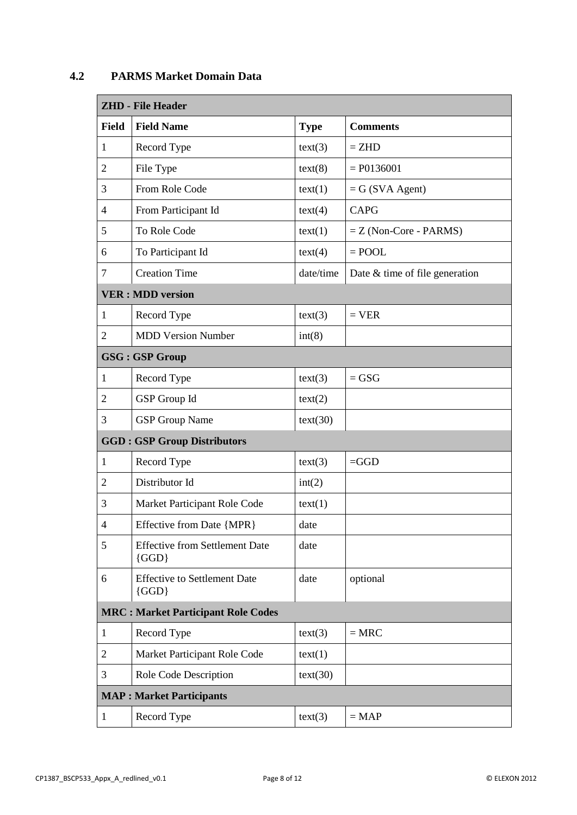| <b>ZHD - File Header</b> |                                                    |             |                                |  |
|--------------------------|----------------------------------------------------|-------------|--------------------------------|--|
| <b>Field</b>             | <b>Field Name</b>                                  | <b>Type</b> | <b>Comments</b>                |  |
| 1                        | Record Type                                        | text(3)     | $=$ ZHD                        |  |
| $\overline{2}$           | File Type                                          | text(8)     | $= P0136001$                   |  |
| 3                        | From Role Code                                     | text(1)     | $= G (SVA Agent)$              |  |
| 4                        | From Participant Id                                | text(4)     | <b>CAPG</b>                    |  |
| 5                        | To Role Code                                       | text(1)     | $=$ Z (Non-Core - PARMS)       |  |
| 6                        | To Participant Id                                  | text(4)     | $=$ POOL                       |  |
| 7                        | <b>Creation Time</b>                               | date/time   | Date & time of file generation |  |
|                          | <b>VER: MDD version</b>                            |             |                                |  |
| 1                        | Record Type                                        | text(3)     | $=$ VER                        |  |
| $\overline{2}$           | <b>MDD Version Number</b>                          | int(8)      |                                |  |
|                          | <b>GSG: GSP Group</b>                              |             |                                |  |
| 1                        | Record Type                                        | text(3)     | $=$ GSG                        |  |
| $\overline{2}$           | GSP Group Id                                       | text(2)     |                                |  |
| 3                        | <b>GSP</b> Group Name                              | text(30)    |                                |  |
|                          | <b>GGD: GSP Group Distributors</b>                 |             |                                |  |
| 1                        | Record Type                                        | text(3)     | $=$ GGD                        |  |
| $\overline{2}$           | Distributor Id                                     | int(2)      |                                |  |
| 3                        | Market Participant Role Code                       | text(1)     |                                |  |
| 4                        | Effective from Date {MPR}                          | date        |                                |  |
| 5                        | <b>Effective from Settlement Date</b><br>$\{GGD\}$ | date        |                                |  |
| 6                        | <b>Effective to Settlement Date</b><br>$\{GGD\}$   | date        | optional                       |  |
|                          | <b>MRC: Market Participant Role Codes</b>          |             |                                |  |
| $\mathbf{1}$             | Record Type                                        | text(3)     | $=$ MRC                        |  |
| $\overline{2}$           | Market Participant Role Code                       | text(1)     |                                |  |
| 3                        | Role Code Description                              | text(30)    |                                |  |
|                          | <b>MAP</b> : Market Participants                   |             |                                |  |
| $\mathbf{1}$             | Record Type                                        | text(3)     | $= MAP$                        |  |

# **4.2 PARMS Market Domain Data**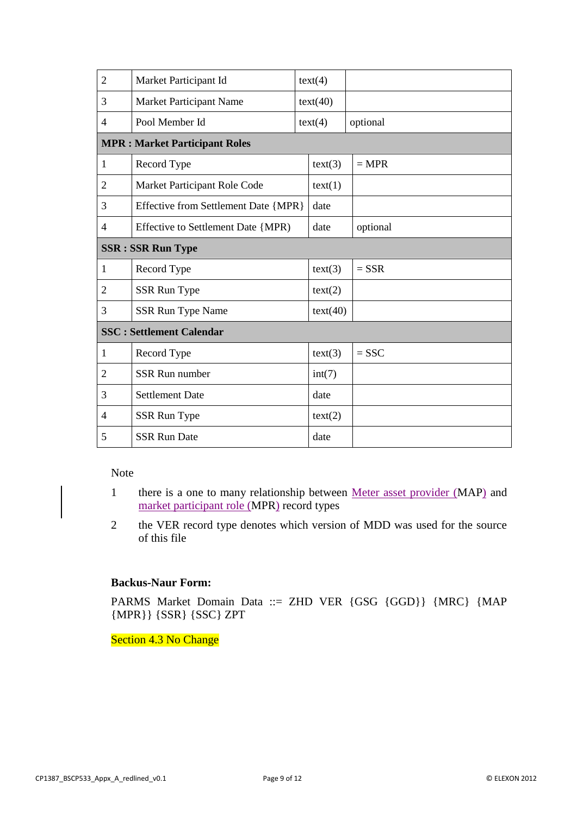| $\overline{2}$ | Market Participant Id                |          | text(4)  |          |  |
|----------------|--------------------------------------|----------|----------|----------|--|
| 3              | Market Participant Name              | text(40) |          |          |  |
| $\overline{4}$ | Pool Member Id                       |          | text(4)  | optional |  |
|                | <b>MPR: Market Participant Roles</b> |          |          |          |  |
| $\mathbf{1}$   | Record Type                          |          | text(3)  | $=$ MPR  |  |
| $\overline{2}$ | Market Participant Role Code         |          | text(1)  |          |  |
| 3              | Effective from Settlement Date {MPR} |          | date     |          |  |
| $\overline{4}$ | Effective to Settlement Date {MPR)   |          | date     | optional |  |
|                | <b>SSR: SSR Run Type</b>             |          |          |          |  |
| 1              | Record Type                          |          | text(3)  | $=$ SSR  |  |
| 2              | <b>SSR Run Type</b>                  |          | text(2)  |          |  |
| 3              | <b>SSR Run Type Name</b>             |          | text(40) |          |  |
|                | <b>SSC: Settlement Calendar</b>      |          |          |          |  |
| $\mathbf{1}$   | Record Type                          |          | text(3)  | $=$ SSC  |  |
| $\overline{2}$ | <b>SSR Run number</b>                |          | int(7)   |          |  |
| 3              | <b>Settlement Date</b>               |          | date     |          |  |
| 4              | SSR Run Type                         |          | text(2)  |          |  |
| 5              | <b>SSR Run Date</b>                  |          | date     |          |  |

Note

- 1 there is a one to many relationship between Meter asset provider (MAP) and market participant role (MPR) record types
- 2 the VER record type denotes which version of MDD was used for the source of this file

## **Backus-Naur Form:**

PARMS Market Domain Data ::= ZHD VER {GSG {GGD}} {MRC} {MAP {MPR}} {SSR} {SSC} ZPT

Section 4.3 No Change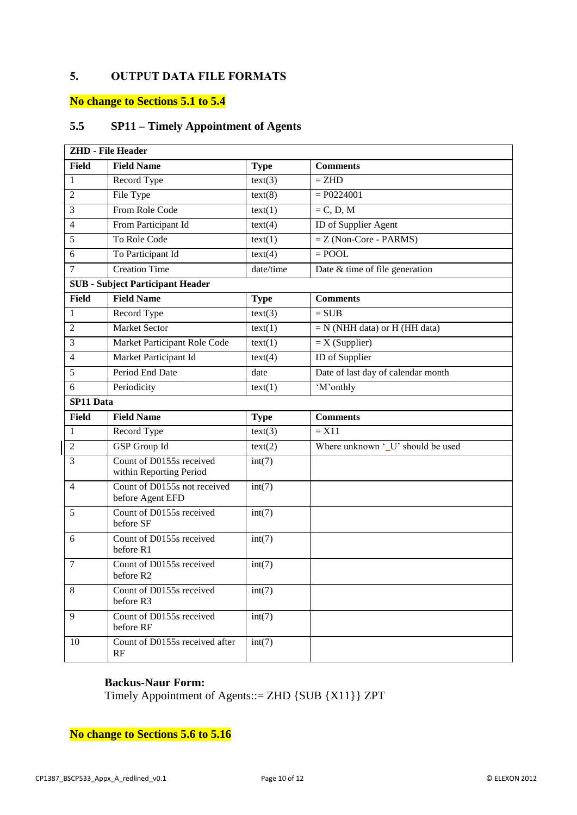# **5. OUTPUT DATA FILE FORMATS**

# **No change to Sections 5.1 to 5.4**

# **5.5 SP11 – Timely Appointment of Agents**

|                | <b>ZHD</b> - File Header                            |                             |                                    |
|----------------|-----------------------------------------------------|-----------------------------|------------------------------------|
| <b>Field</b>   | <b>Field Name</b>                                   | <b>Type</b>                 | <b>Comments</b>                    |
| $\mathbf{1}$   | Record Type                                         | text(3)                     | $=$ ZHD                            |
| $\overline{2}$ | File Type                                           | text(8)                     | $= P0224001$                       |
| 3              | From Role Code                                      | text(1)                     | $=C, D, M$                         |
| $\overline{4}$ | From Participant Id                                 | text(4)                     | ID of Supplier Agent               |
| 5              | To Role Code                                        | text(1)                     | $=$ Z (Non-Core - PARMS)           |
| 6              | To Participant Id                                   | text(4)                     | $=$ POOL                           |
| $\tau$         | <b>Creation Time</b>                                | date/time                   | Date $&$ time of file generation   |
|                | <b>SUB</b> - Subject Participant Header             |                             |                                    |
| <b>Field</b>   | <b>Field Name</b>                                   | <b>Type</b>                 | <b>Comments</b>                    |
| $\mathbf{1}$   | Record Type                                         | text(3)                     | $= SUB$                            |
| $\overline{2}$ | <b>Market Sector</b>                                | text(1)                     | $= N$ (NHH data) or H (HH data)    |
| 3              | Market Participant Role Code                        | text(1)                     | $=X(Supplier)$                     |
| $\overline{4}$ | Market Participant Id                               | text(4)                     | ID of Supplier                     |
| 5              | Period End Date                                     | date                        | Date of last day of calendar month |
| 6              | Periodicity                                         | text(1)                     | 'M'onthly                          |
| SP11 Data      |                                                     |                             |                                    |
| Field          | <b>Field Name</b>                                   | <b>Type</b>                 | <b>Comments</b>                    |
| 1              | Record Type                                         | text(3)                     | $= X11$                            |
| $\overline{2}$ | <b>GSP</b> Group Id                                 | $\overline{\text{text}}(2)$ | Where unknown '_U' should be used  |
| 3              | Count of D0155s received<br>within Reporting Period | int(7)                      |                                    |
| $\overline{4}$ | Count of D0155s not received<br>before Agent EFD    | int(7)                      |                                    |
| 5              | Count of D0155s received<br>before SF               | int(7)                      |                                    |
| 6              | Count of D0155s received<br>before R1               | int(7)                      |                                    |
| 7              | Count of D0155s received<br>before R2               | int(7)                      |                                    |
| 8              | Count of D0155s received<br>before R3               | int(7)                      |                                    |
| 9              | Count of D0155s received<br>before RF               | int(7)                      |                                    |
| 10             | Count of D0155s received after<br>RF                | int(7)                      |                                    |

#### **Backus-Naur Form:**

Timely Appointment of Agents::= ZHD {SUB {X11}} ZPT

**No change to Sections 5.6 to 5.16**

 $\overline{\phantom{a}}$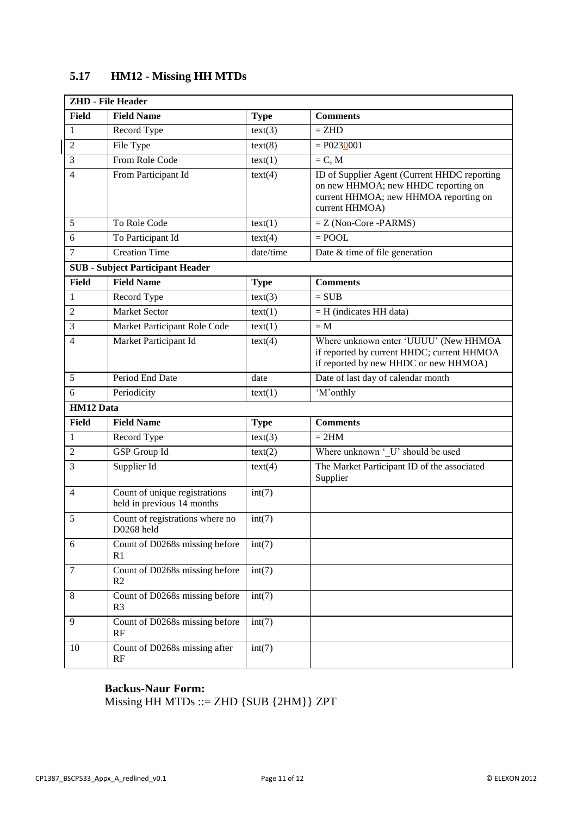|                  | <b>ZHD</b> - File Header                                    |             |                                                                                                                                                |
|------------------|-------------------------------------------------------------|-------------|------------------------------------------------------------------------------------------------------------------------------------------------|
| Field            | <b>Field Name</b>                                           | <b>Type</b> | <b>Comments</b>                                                                                                                                |
| 1                | Record Type                                                 | text(3)     | $=$ ZHD                                                                                                                                        |
| $\overline{2}$   | File Type                                                   | text(8)     | $= P0230001$                                                                                                                                   |
| 3                | From Role Code                                              | text(1)     | $=C, M$                                                                                                                                        |
| $\overline{4}$   | From Participant Id                                         | text(4)     | ID of Supplier Agent (Current HHDC reporting<br>on new HHMOA; new HHDC reporting on<br>current HHMOA; new HHMOA reporting on<br>current HHMOA) |
| 5                | To Role Code                                                | text(1)     | $=$ Z (Non-Core -PARMS)                                                                                                                        |
| 6                | To Participant Id                                           | text(4)     | $=$ POOL                                                                                                                                       |
| $\tau$           | <b>Creation Time</b>                                        | date/time   | Date $&$ time of file generation                                                                                                               |
|                  | <b>SUB</b> - Subject Participant Header                     |             |                                                                                                                                                |
| Field            | <b>Field Name</b>                                           | <b>Type</b> | <b>Comments</b>                                                                                                                                |
| 1                | Record Type                                                 | text(3)     | $= SUB$                                                                                                                                        |
| 2                | <b>Market Sector</b>                                        | text(1)     | $=$ H (indicates HH data)                                                                                                                      |
| 3                | Market Participant Role Code                                | text(1)     | $= M$                                                                                                                                          |
| $\overline{4}$   | Market Participant Id                                       | text(4)     | Where unknown enter 'UUUU' (New HHMOA<br>if reported by current HHDC; current HHMOA<br>if reported by new HHDC or new HHMOA)                   |
| 5                | Period End Date                                             | date        | Date of last day of calendar month                                                                                                             |
| 6                | Periodicity                                                 | text(1)     | 'M'onthly                                                                                                                                      |
| <b>HM12 Data</b> |                                                             |             |                                                                                                                                                |
| <b>Field</b>     | <b>Field Name</b>                                           | <b>Type</b> | <b>Comments</b>                                                                                                                                |
| $\mathbf{1}$     | Record Type                                                 | text(3)     | $= 2HM$                                                                                                                                        |
| 2                | GSP Group Id                                                | text(2)     | Where unknown 'U' should be used                                                                                                               |
| $\overline{3}$   | Supplier Id                                                 | text(4)     | The Market Participant ID of the associated<br>Supplier                                                                                        |
| $\overline{4}$   | Count of unique registrations<br>held in previous 14 months | int(7)      |                                                                                                                                                |
| 5                | Count of registrations where no<br>D0268 held               | int(7)      |                                                                                                                                                |
| 6                | Count of D0268s missing before<br>R1                        | int(7)      |                                                                                                                                                |
| $\tau$           | Count of D0268s missing before<br>R2                        | int(7)      |                                                                                                                                                |
| 8                | Count of D0268s missing before<br>R <sub>3</sub>            | int(7)      |                                                                                                                                                |
| 9                | Count of D0268s missing before<br>RF                        | int(7)      |                                                                                                                                                |
| 10               | Count of D0268s missing after<br>RF                         | int(7)      |                                                                                                                                                |

# **5.17 HM12 - Missing HH MTDs**

# **Backus-Naur Form:**

Missing HH MTDs ::= ZHD {SUB {2HM}} ZPT